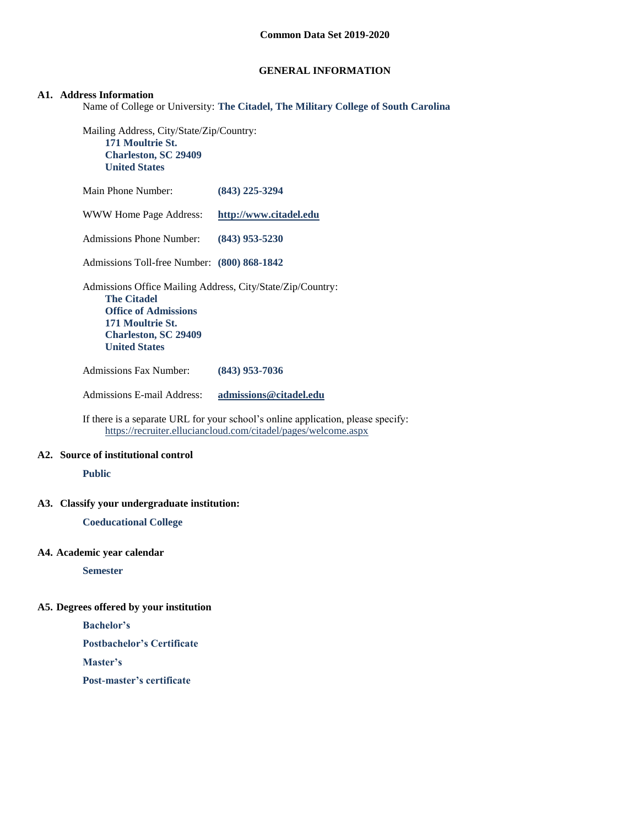## **GENERAL INFORMATION**

### **A1. Address Information**

Name of College or University: **The Citadel, The Military College of South Carolina**

Mailing Address, City/State/Zip/Country: **171 Moultrie St. Charleston, SC 29409 United States**

Main Phone Number: **(843) 225-3294** WWW Home Page Address: **[http://www.citadel.edu](http://www.citadel.edu/)** Admissions Phone Number: **(843) 953-5230** Admissions Toll-free Number: **(800) 868-1842** Admissions Office Mailing Address, City/State/Zip/Country: **The Citadel Office of Admissions 171 Moultrie St. Charleston, SC 29409 United States** Admissions Fax Number: **(843) 953-7036**

Admissions E-mail Address: **[admissions@citadel.edu](mailto:admissions@citadel.edu)**

If there is a separate URL for your school's online application, please specify: <https://recruiter.elluciancloud.com/citadel/pages/welcome.aspx>

#### **A2. Source of institutional control**

**Public**

#### **A3. Classify your undergraduate institution:**

**Coeducational College**

#### **A4. Academic year calendar**

**Semester**

### **A5. Degrees offered by your institution**

**Bachelor's**

**Postbachelor's Certificate**

**Master's**

**Post-master's certificate**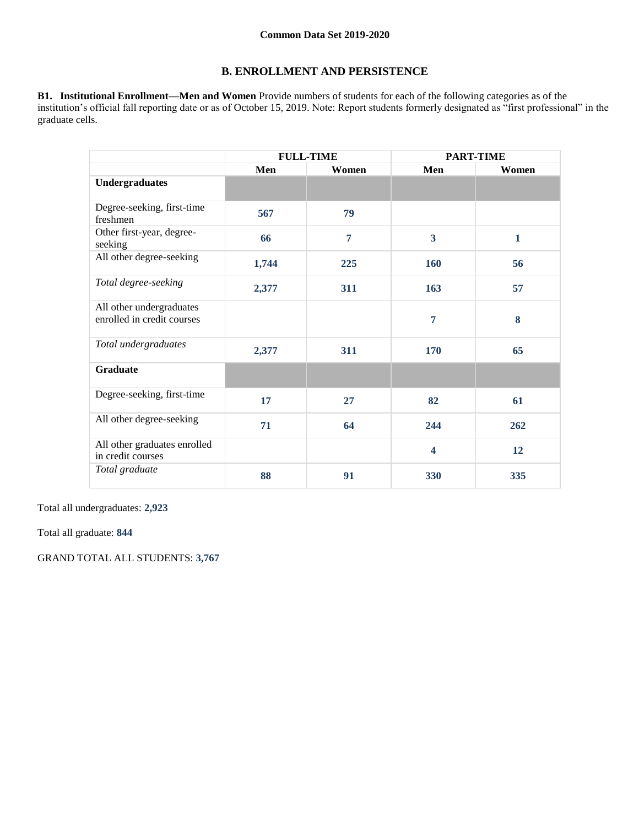## **B. ENROLLMENT AND PERSISTENCE**

**B1. Institutional Enrollment—Men and Women** Provide numbers of students for each of the following categories as of the institution's official fall reporting date or as of October 15, 2019. Note: Report students formerly designated as "first professional" in the graduate cells.

|                                                        | <b>FULL-TIME</b> |       | <b>PART-TIME</b>        |              |  |
|--------------------------------------------------------|------------------|-------|-------------------------|--------------|--|
|                                                        | Men              | Women | Men                     | Women        |  |
| <b>Undergraduates</b>                                  |                  |       |                         |              |  |
| Degree-seeking, first-time<br>freshmen                 | 567              | 79    |                         |              |  |
| Other first-year, degree-<br>seeking                   | 66               | 7     | $\overline{\mathbf{3}}$ | $\mathbf{1}$ |  |
| All other degree-seeking                               | 1,744            | 225   | 160                     | 56           |  |
| Total degree-seeking                                   | 2,377            | 311   | 163                     | 57           |  |
| All other undergraduates<br>enrolled in credit courses |                  |       | 7                       | 8            |  |
| Total undergraduates                                   | 2,377            | 311   | 170                     | 65           |  |
| <b>Graduate</b>                                        |                  |       |                         |              |  |
| Degree-seeking, first-time                             | 17               | 27    | 82                      | 61           |  |
| All other degree-seeking                               | 71               | 64    | 244                     | 262          |  |
| All other graduates enrolled<br>in credit courses      |                  |       | $\overline{\mathbf{4}}$ | 12           |  |
| Total graduate                                         | 88               | 91    | 330                     | 335          |  |

Total all undergraduates: **2,923**

Total all graduate: **844**

GRAND TOTAL ALL STUDENTS: **3,767**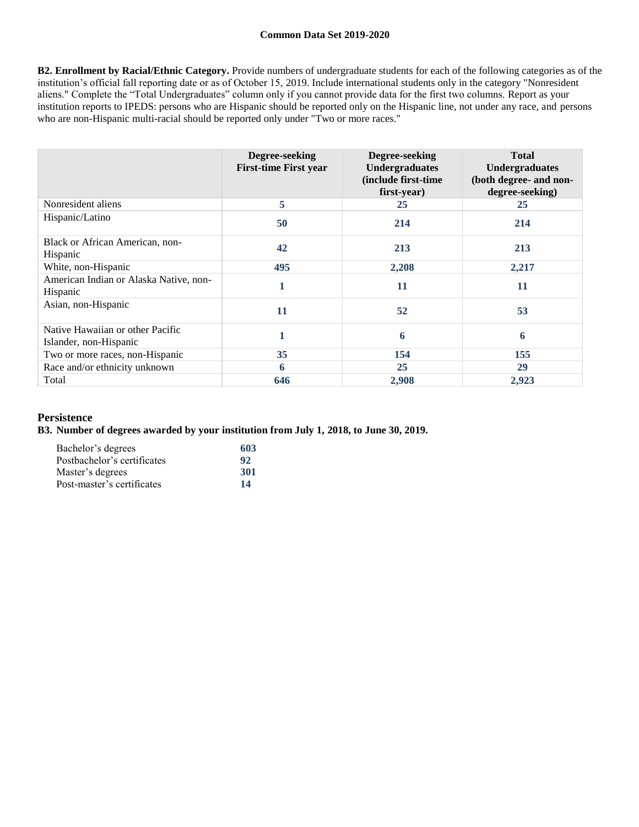**B2. Enrollment by Racial/Ethnic Category.** Provide numbers of undergraduate students for each of the following categories as of the institution's official fall reporting date or as of October 15, 2019. Include international students only in the category "Nonresident aliens." Complete the "Total Undergraduates" column only if you cannot provide data for the first two columns. Report as your institution reports to IPEDS: persons who are Hispanic should be reported only on the Hispanic line, not under any race, and persons who are non-Hispanic multi-racial should be reported only under "Two or more races."

|                                                            | Degree-seeking<br><b>First-time First year</b> | Degree-seeking<br><b>Undergraduates</b><br>(include first-time<br>first-year) | <b>Total</b><br><b>Undergraduates</b><br>(both degree- and non-<br>degree-seeking) |
|------------------------------------------------------------|------------------------------------------------|-------------------------------------------------------------------------------|------------------------------------------------------------------------------------|
| Nonresident aliens                                         | 5                                              | 25                                                                            | 25                                                                                 |
| Hispanic/Latino                                            | 50                                             | 214                                                                           | 214                                                                                |
| Black or African American, non-<br>Hispanic                | 42                                             | 213                                                                           | 213                                                                                |
| White, non-Hispanic                                        | 495                                            | 2,208                                                                         | 2,217                                                                              |
| American Indian or Alaska Native, non-<br>Hispanic         | 1                                              | 11                                                                            | 11                                                                                 |
| Asian, non-Hispanic                                        | 11                                             | 52                                                                            | 53                                                                                 |
| Native Hawaiian or other Pacific<br>Islander, non-Hispanic |                                                | 6                                                                             | 6                                                                                  |
| Two or more races, non-Hispanic                            | 35                                             | 154                                                                           | 155                                                                                |
| Race and/or ethnicity unknown                              | 6                                              | 25                                                                            | 29                                                                                 |
| Total                                                      | 646                                            | 2,908                                                                         | 2,923                                                                              |

## **Persistence**

## **B3. Number of degrees awarded by your institution from July 1, 2018, to June 30, 2019.**

| Bachelor's degrees          | 603        |
|-----------------------------|------------|
| Postbachelor's certificates | 92         |
| Master's degrees            | <b>301</b> |
| Post-master's certificates  | 14         |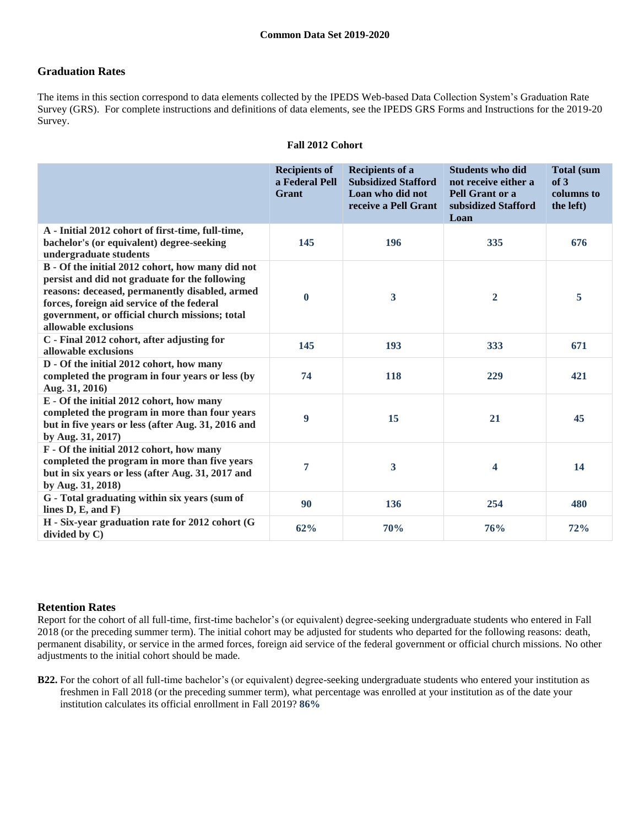## **Graduation Rates**

The items in this section correspond to data elements collected by the IPEDS Web-based Data Collection System's Graduation Rate Survey (GRS). For complete instructions and definitions of data elements, see the IPEDS GRS Forms and Instructions for the 2019-20 Survey.

|                                                                                                                                                                                                                                                                              | <b>Recipients of</b><br>a Federal Pell<br>Grant | <b>Recipients of a</b><br><b>Subsidized Stafford</b><br>Loan who did not<br>receive a Pell Grant | <b>Students who did</b><br>not receive either a<br>Pell Grant or a<br>subsidized Stafford<br>Loan | <b>Total (sum</b><br>of 3<br>columns to<br>the left) |
|------------------------------------------------------------------------------------------------------------------------------------------------------------------------------------------------------------------------------------------------------------------------------|-------------------------------------------------|--------------------------------------------------------------------------------------------------|---------------------------------------------------------------------------------------------------|------------------------------------------------------|
| A - Initial 2012 cohort of first-time, full-time,<br>bachelor's (or equivalent) degree-seeking<br>undergraduate students                                                                                                                                                     | 145                                             | 196                                                                                              | 335                                                                                               | 676                                                  |
| B - Of the initial 2012 cohort, how many did not<br>persist and did not graduate for the following<br>reasons: deceased, permanently disabled, armed<br>forces, foreign aid service of the federal<br>government, or official church missions; total<br>allowable exclusions | $\mathbf{0}$                                    | $\mathbf{3}$                                                                                     | $\overline{2}$                                                                                    | 5                                                    |
| C - Final 2012 cohort, after adjusting for<br>allowable exclusions                                                                                                                                                                                                           | 145                                             | 193                                                                                              | 333                                                                                               | 671                                                  |
| D - Of the initial 2012 cohort, how many<br>completed the program in four years or less (by<br>Aug. 31, 2016)                                                                                                                                                                | 74                                              | 118                                                                                              | 229                                                                                               | 421                                                  |
| E - Of the initial 2012 cohort, how many<br>completed the program in more than four years<br>but in five years or less (after Aug. 31, 2016 and<br>by Aug. 31, 2017)                                                                                                         | 9                                               | 15                                                                                               | 21                                                                                                | 45                                                   |
| F - Of the initial 2012 cohort, how many<br>completed the program in more than five years<br>but in six years or less (after Aug. 31, 2017 and<br>by Aug. 31, 2018)                                                                                                          | 7                                               | 3                                                                                                | 4                                                                                                 | 14                                                   |
| G - Total graduating within six years (sum of<br>lines $D, E, and F$                                                                                                                                                                                                         | 90                                              | 136                                                                                              | 254                                                                                               | 480                                                  |
| H - Six-year graduation rate for 2012 cohort (G<br>divided by $C$ )                                                                                                                                                                                                          | 62%                                             | 70%                                                                                              | 76%                                                                                               | 72%                                                  |

#### **Fall 2012 Cohort**

## **Retention Rates**

Report for the cohort of all full-time, first-time bachelor's (or equivalent) degree-seeking undergraduate students who entered in Fall 2018 (or the preceding summer term). The initial cohort may be adjusted for students who departed for the following reasons: death, permanent disability, or service in the armed forces, foreign aid service of the federal government or official church missions. No other adjustments to the initial cohort should be made.

**B22.** For the cohort of all full-time bachelor's (or equivalent) degree-seeking undergraduate students who entered your institution as freshmen in Fall 2018 (or the preceding summer term), what percentage was enrolled at your institution as of the date your institution calculates its official enrollment in Fall 2019? **86%**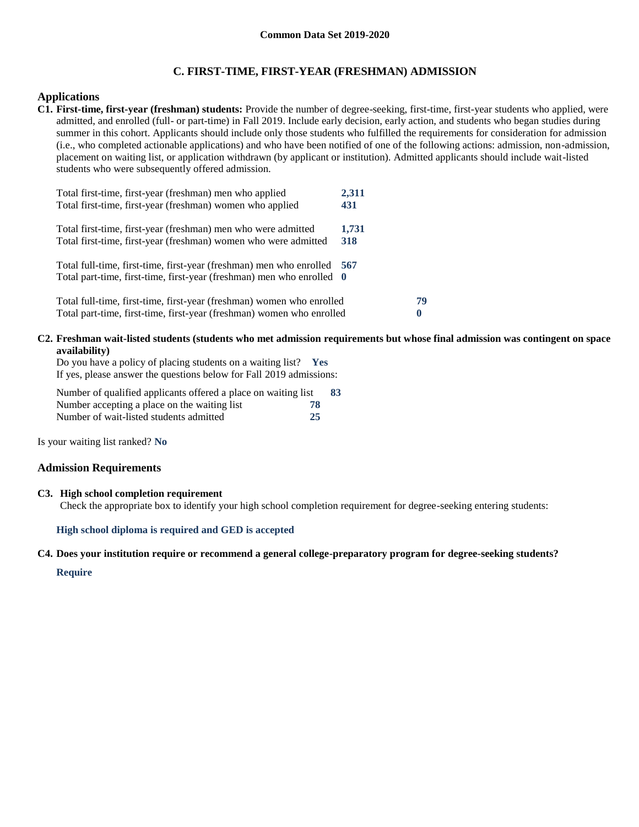## **C. FIRST-TIME, FIRST-YEAR (FRESHMAN) ADMISSION**

### **Applications**

**C1. First-time, first-year (freshman) students:** Provide the number of degree-seeking, first-time, first-year students who applied, were admitted, and enrolled (full- or part-time) in Fall 2019. Include early decision, early action, and students who began studies during summer in this cohort. Applicants should include only those students who fulfilled the requirements for consideration for admission (i.e., who completed actionable applications) and who have been notified of one of the following actions: admission, non-admission, placement on waiting list, or application withdrawn (by applicant or institution). Admitted applicants should include wait-listed students who were subsequently offered admission.

| Total first-time, first-year (freshman) men who applied<br>Total first-time, first-year (freshman) women who applied             | 2,311<br>431 |    |
|----------------------------------------------------------------------------------------------------------------------------------|--------------|----|
|                                                                                                                                  |              |    |
| Total first-time, first-year (freshman) men who were admitted<br>Total first-time, first-year (freshman) women who were admitted | 1,731<br>318 |    |
|                                                                                                                                  |              |    |
| Total full-time, first-time, first-year (freshman) men who enrolled 567                                                          |              |    |
| Total part-time, first-time, first-year (freshman) men who enrolled 0                                                            |              |    |
|                                                                                                                                  |              |    |
| Total full-time, first-time, first-year (freshman) women who enrolled                                                            |              | 79 |
| Total part-time, first-time, first-year (freshman) women who enrolled                                                            |              | 0  |

#### **C2. Freshman wait-listed students (students who met admission requirements but whose final admission was contingent on space availability)**

Do you have a policy of placing students on a waiting list? **Yes** If yes, please answer the questions below for Fall 2019 admissions:

Number of qualified applicants offered a place on waiting list **83** Number accepting a place on the waiting list **78** Number of wait-listed students admitted **25**

Is your waiting list ranked? **No**

#### **Admission Requirements**

#### **C3. High school completion requirement**

Check the appropriate box to identify your high school completion requirement for degree-seeking entering students:

#### **High school diploma is required and GED is accepted**

#### **C4. Does your institution require or recommend a general college-preparatory program for degree-seeking students?**

#### **Require**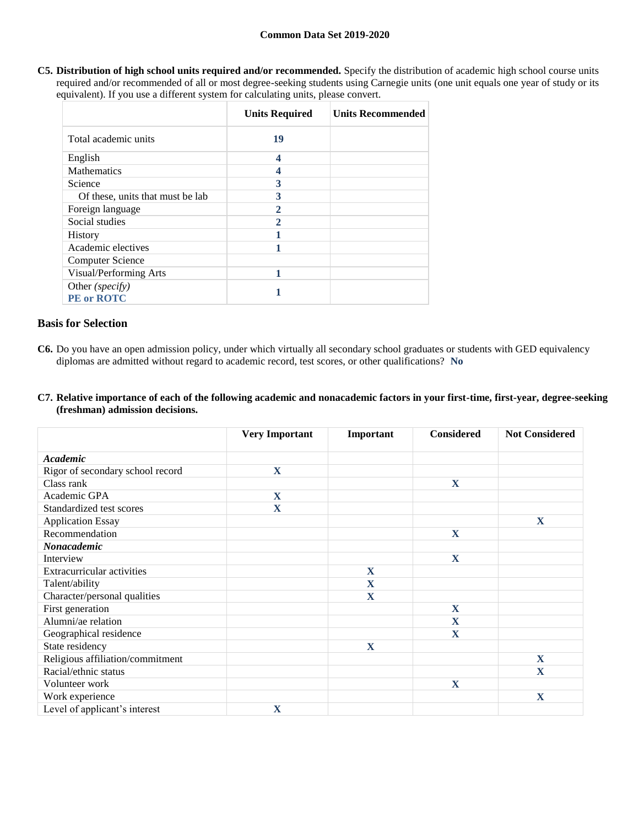**C5. Distribution of high school units required and/or recommended.** Specify the distribution of academic high school course units required and/or recommended of all or most degree-seeking students using Carnegie units (one unit equals one year of study or its equivalent). If you use a different system for calculating units, please convert.

|                                      | <b>Units Required</b> | <b>Units Recommended</b> |
|--------------------------------------|-----------------------|--------------------------|
| Total academic units                 | 19                    |                          |
| English                              | 4                     |                          |
| <b>Mathematics</b>                   |                       |                          |
| Science                              | 3                     |                          |
| Of these, units that must be lab     | 3                     |                          |
| Foreign language                     | 2                     |                          |
| Social studies                       |                       |                          |
| <b>History</b>                       |                       |                          |
| Academic electives                   |                       |                          |
| <b>Computer Science</b>              |                       |                          |
| Visual/Performing Arts               | 1                     |                          |
| Other (specify)<br><b>PE</b> or ROTC |                       |                          |

## **Basis for Selection**

- **C6.** Do you have an open admission policy, under which virtually all secondary school graduates or students with GED equivalency diplomas are admitted without regard to academic record, test scores, or other qualifications? **No**
- **C7. Relative importance of each of the following academic and nonacademic factors in your first-time, first-year, degree-seeking (freshman) admission decisions.**

|                                  | <b>Very Important</b> | Important   | <b>Considered</b> | <b>Not Considered</b> |
|----------------------------------|-----------------------|-------------|-------------------|-----------------------|
| Academic                         |                       |             |                   |                       |
| Rigor of secondary school record | X                     |             |                   |                       |
| Class rank                       |                       |             | $\mathbf X$       |                       |
| Academic GPA                     | X                     |             |                   |                       |
| Standardized test scores         | $\mathbf X$           |             |                   |                       |
| <b>Application Essay</b>         |                       |             |                   | X                     |
| Recommendation                   |                       |             | $\mathbf X$       |                       |
| Nonacademic                      |                       |             |                   |                       |
| Interview                        |                       |             | $\mathbf X$       |                       |
| Extracurricular activities       |                       | X           |                   |                       |
| Talent/ability                   |                       | $\mathbf X$ |                   |                       |
| Character/personal qualities     |                       | X           |                   |                       |
| First generation                 |                       |             | $\mathbf{X}$      |                       |
| Alumni/ae relation               |                       |             | $\mathbf X$       |                       |
| Geographical residence           |                       |             | $\mathbf{X}$      |                       |
| State residency                  |                       | X           |                   |                       |
| Religious affiliation/commitment |                       |             |                   | $\mathbf{X}$          |
| Racial/ethnic status             |                       |             |                   | $\mathbf X$           |
| Volunteer work                   |                       |             | $\mathbf X$       |                       |
| Work experience                  |                       |             |                   | X                     |
| Level of applicant's interest    | X                     |             |                   |                       |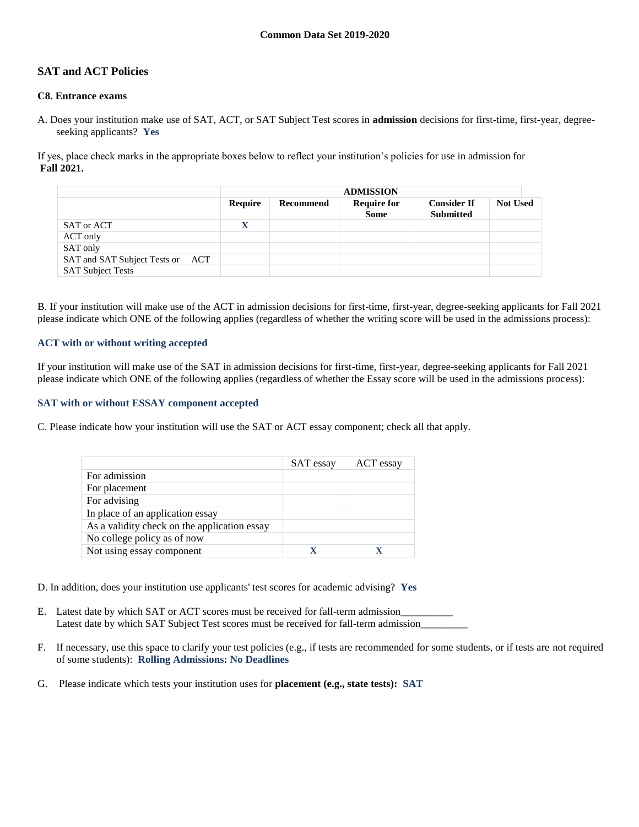## **SAT and ACT Policies**

### **C8. Entrance exams**

A. Does your institution make use of SAT, ACT, or SAT Subject Test scores in **admission** decisions for first-time, first-year, degreeseeking applicants? **Yes**

If yes, place check marks in the appropriate boxes below to reflect your institution's policies for use in admission for **Fall 2021.**

|                                     | <b>ADMISSION</b> |           |                                   |                                        |                 |
|-------------------------------------|------------------|-----------|-----------------------------------|----------------------------------------|-----------------|
|                                     | Require          | Recommend | <b>Require for</b><br><b>Some</b> | <b>Consider If</b><br><b>Submitted</b> | <b>Not Used</b> |
| SAT or ACT                          | $\mathbf X$      |           |                                   |                                        |                 |
| ACT only                            |                  |           |                                   |                                        |                 |
| SAT only                            |                  |           |                                   |                                        |                 |
| SAT and SAT Subject Tests or<br>ACT |                  |           |                                   |                                        |                 |
| <b>SAT Subject Tests</b>            |                  |           |                                   |                                        |                 |

B. If your institution will make use of the ACT in admission decisions for first-time, first-year, degree-seeking applicants for Fall 2021 please indicate which ONE of the following applies (regardless of whether the writing score will be used in the admissions process):

#### **ACT with or without writing accepted**

If your institution will make use of the SAT in admission decisions for first-time, first-year, degree-seeking applicants for Fall 2021 please indicate which ONE of the following applies (regardless of whether the Essay score will be used in the admissions process):

#### **SAT with or without ESSAY component accepted**

C. Please indicate how your institution will use the SAT or ACT essay component; check all that apply.

|                                              | SAT essay | ACT essay |
|----------------------------------------------|-----------|-----------|
| For admission                                |           |           |
| For placement                                |           |           |
| For advising                                 |           |           |
| In place of an application essay             |           |           |
| As a validity check on the application essay |           |           |
| No college policy as of now                  |           |           |
| Not using essay component                    |           |           |

D. In addition, does your institution use applicants' test scores for academic advising? **Yes**

- E. Latest date by which SAT or ACT scores must be received for fall-term admission\_\_\_\_\_\_\_\_\_\_ Latest date by which SAT Subject Test scores must be received for fall-term admission\_\_\_\_\_\_\_\_\_
- F. If necessary, use this space to clarify your test policies (e.g., if tests are recommended for some students, or if tests are not required of some students): **Rolling Admissions: No Deadlines**
- G. Please indicate which tests your institution uses for **placement (e.g., state tests): SAT**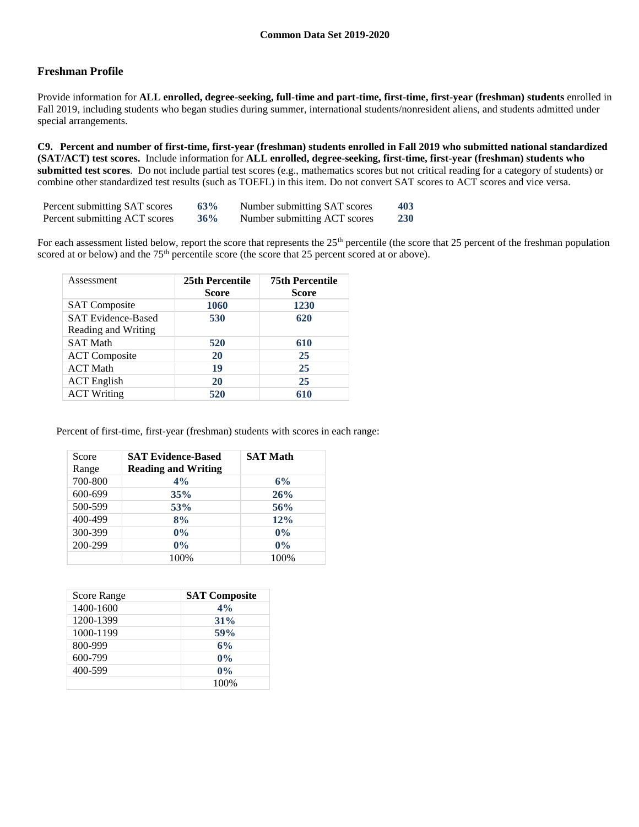## **Freshman Profile**

Provide information for **ALL enrolled, degree-seeking, full-time and part-time, first-time, first-year (freshman) students** enrolled in Fall 2019, including students who began studies during summer, international students/nonresident aliens, and students admitted under special arrangements.

**C9. Percent and number of first-time, first-year (freshman) students enrolled in Fall 2019 who submitted national standardized (SAT/ACT) test scores.** Include information for **ALL enrolled, degree-seeking, first-time, first-year (freshman) students who submitted test scores**. Do not include partial test scores (e.g., mathematics scores but not critical reading for a category of students) or combine other standardized test results (such as TOEFL) in this item. Do not convert SAT scores to ACT scores and vice versa.

| Percent submitting SAT scores | 63%    | Number submitting SAT scores | 403        |
|-------------------------------|--------|------------------------------|------------|
| Percent submitting ACT scores | $36\%$ | Number submitting ACT scores | <b>230</b> |

For each assessment listed below, report the score that represents the  $25<sup>th</sup>$  percentile (the score that  $25$  percent of the freshman population scored at or below) and the 75<sup>th</sup> percentile score (the score that 25 percent scored at or above).

| Assessment                                       | 25th Percentile<br><b>Score</b> | <b>75th Percentile</b><br><b>Score</b> |
|--------------------------------------------------|---------------------------------|----------------------------------------|
| <b>SAT</b> Composite                             | 1060                            | 1230                                   |
| <b>SAT Evidence-Based</b><br>Reading and Writing | 530                             | 620                                    |
| <b>SAT Math</b>                                  | 520                             | 610                                    |
| <b>ACT</b> Composite                             | 20                              | 25                                     |
| <b>ACT Math</b>                                  | 19                              | 25                                     |
| <b>ACT</b> English                               | 20                              | 25                                     |
| <b>ACT Writing</b>                               | 520                             | 610                                    |

Percent of first-time, first-year (freshman) students with scores in each range:

| Score<br>Range | <b>SAT Evidence-Based</b><br><b>Reading and Writing</b> | <b>SAT Math</b> |
|----------------|---------------------------------------------------------|-----------------|
| 700-800        | 4%                                                      | 6%              |
| 600-699        | 35%                                                     | 26%             |
| 500-599        | 53%                                                     | 56%             |
| 400-499        | 8%                                                      | 12%             |
| 300-399        | $0\%$                                                   | 0%              |
| 200-299        | $0\%$                                                   | 0%              |
|                | 100%                                                    | 100%            |

| Score Range | <b>SAT Composite</b> |
|-------------|----------------------|
| 1400-1600   | 4%                   |
| 1200-1399   | $31\%$               |
| 1000-1199   | <b>59%</b>           |
| 800-999     | 6%                   |
| 600-799     | $0\%$                |
| 400-599     | $0\%$                |
|             | 100%                 |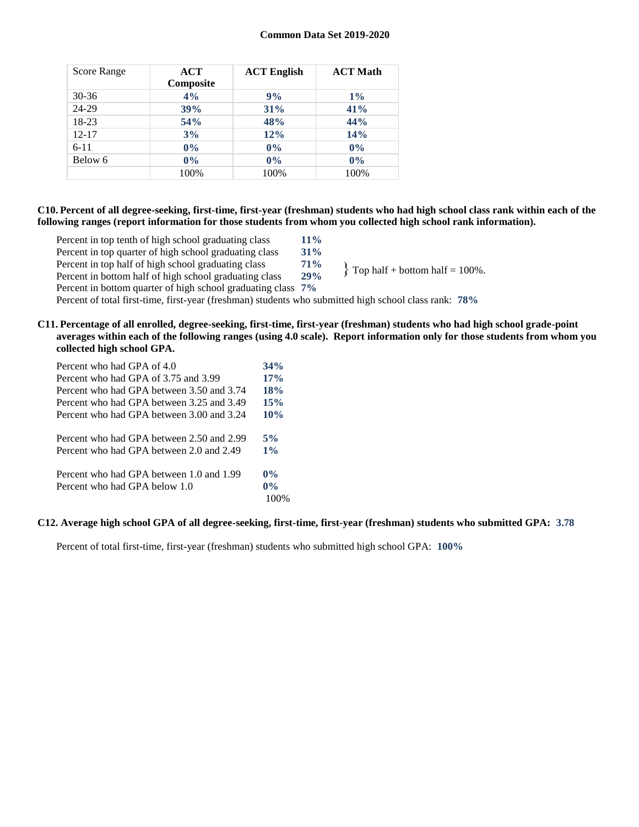| Score Range | ACT<br>Composite | <b>ACT English</b> | <b>ACT Math</b> |
|-------------|------------------|--------------------|-----------------|
| $30 - 36$   | 4%               | 9%                 | $1\%$           |
| 24-29       | 39%              | 31%                | 41%             |
| 18-23       | 54%              | 48%                | 44%             |
| $12 - 17$   | 3%               | 12%                | 14%             |
| $6 - 11$    | $0\%$            | $0\%$              | $0\%$           |
| Below 6     | $0\%$            | $0\%$              | $0\%$           |
|             | 100%             | 100%               | 100%            |

### **C10. Percent of all degree-seeking, first-time, first-year (freshman) students who had high school class rank within each of the following ranges (report information for those students from whom you collected high school rank information).**

Percent in top tenth of high school graduating class **11%** Percent in top quarter of high school graduating class **31%** Percent in top half of high school graduating class **71%** Percent in bottom half of high school graduating class **29%** Percent in bottom quarter of high school graduating class **7%**  $\{$  Top half + bottom half = 100%.

Percent of total first-time, first-year (freshman) students who submitted high school class rank: **78%**

**C11. Percentage of all enrolled, degree-seeking, first-time, first-year (freshman) students who had high school grade-point averages within each of the following ranges (using 4.0 scale). Report information only for those students from whom you collected high school GPA.**

| Percent who had GPA of 4.0                | 34%   |
|-------------------------------------------|-------|
| Percent who had GPA of 3.75 and 3.99      | 17%   |
| Percent who had GPA between 3.50 and 3.74 | 18%   |
| Percent who had GPA between 3.25 and 3.49 | 15%   |
| Percent who had GPA between 3.00 and 3.24 | 10%   |
| Percent who had GPA between 2.50 and 2.99 | 5%    |
| Percent who had GPA between 2.0 and 2.49  | $1\%$ |
| Percent who had GPA between 1.0 and 1.99  | $0\%$ |
| Percent who had GPA below 1.0             | $0\%$ |
|                                           |       |

## **C12. Average high school GPA of all degree-seeking, first-time, first-year (freshman) students who submitted GPA: 3.78**

Percent of total first-time, first-year (freshman) students who submitted high school GPA: **100%**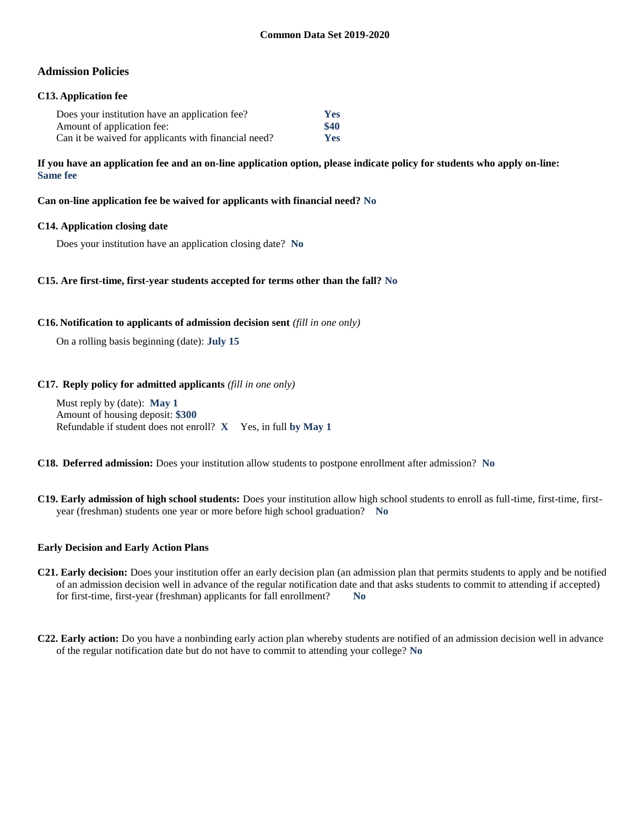## **Admission Policies**

## **C13. Application fee**

| Does your institution have an application fee?       | <b>Yes</b> |
|------------------------------------------------------|------------|
| Amount of application fee:                           | \$40       |
| Can it be waived for applicants with financial need? | <b>Yes</b> |

**If you have an application fee and an on-line application option, please indicate policy for students who apply on-line: Same fee**

**Can on-line application fee be waived for applicants with financial need? No**

### **C14. Application closing date**

Does your institution have an application closing date? **No**

### **C15. Are first-time, first-year students accepted for terms other than the fall? No**

#### **C16. Notification to applicants of admission decision sent** *(fill in one only)*

On a rolling basis beginning (date): **July 15**

### **C17. Reply policy for admitted applicants** *(fill in one only)*

Must reply by (date): **May 1** Amount of housing deposit: **\$300** Refundable if student does not enroll? **X** Yes, in full **by May 1**

**C18. Deferred admission:** Does your institution allow students to postpone enrollment after admission? **No**

**C19. Early admission of high school students:** Does your institution allow high school students to enroll as full-time, first-time, firstyear (freshman) students one year or more before high school graduation? **No**

#### **Early Decision and Early Action Plans**

- **C21. Early decision:** Does your institution offer an early decision plan (an admission plan that permits students to apply and be notified of an admission decision well in advance of the regular notification date and that asks students to commit to attending if accepted) for first-time, first-year (freshman) applicants for fall enrollment? **No**
- **C22. Early action:** Do you have a nonbinding early action plan whereby students are notified of an admission decision well in advance of the regular notification date but do not have to commit to attending your college? **No**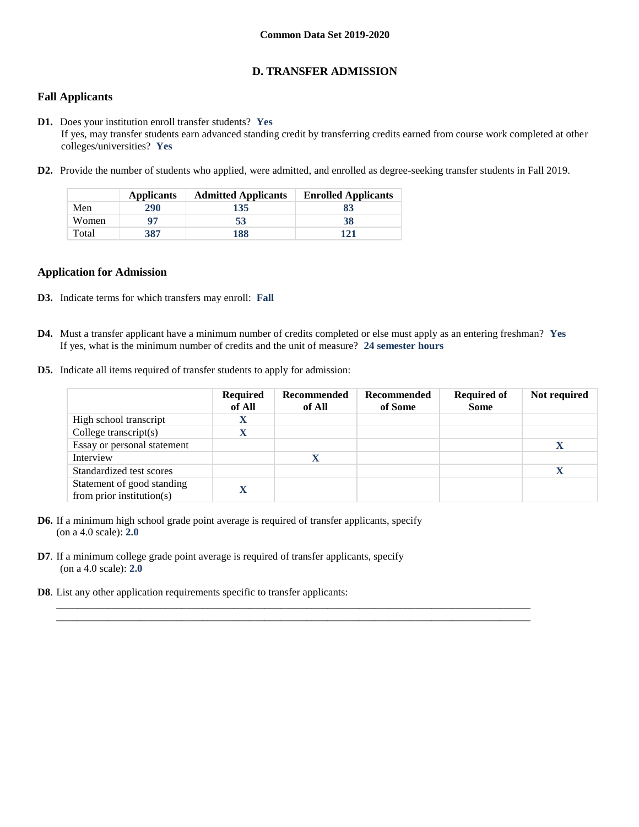## **D. TRANSFER ADMISSION**

## **Fall Applicants**

- **D1.** Does your institution enroll transfer students? **Yes** If yes, may transfer students earn advanced standing credit by transferring credits earned from course work completed at other colleges/universities? **Yes**
- **D2.** Provide the number of students who applied, were admitted, and enrolled as degree-seeking transfer students in Fall 2019.

|       | <b>Applicants</b> | <b>Admitted Applicants</b> | <b>Enrolled Applicants</b> |
|-------|-------------------|----------------------------|----------------------------|
| Men   | 290               | 135                        | 83                         |
| Women | 97                | 53                         | 38                         |
| Total | 387               | 188                        | 121                        |

#### **Application for Admission**

- **D3.** Indicate terms for which transfers may enroll: **Fall**
- **D4.** Must a transfer applicant have a minimum number of credits completed or else must apply as an entering freshman? **Yes** If yes, what is the minimum number of credits and the unit of measure? **24 semester hours**

 $\_$  ,  $\_$  ,  $\_$  ,  $\_$  ,  $\_$  ,  $\_$  ,  $\_$  ,  $\_$  ,  $\_$  ,  $\_$  ,  $\_$  ,  $\_$  ,  $\_$  ,  $\_$  ,  $\_$  ,  $\_$  ,  $\_$  ,  $\_$  ,  $\_$  ,  $\_$  ,  $\_$  ,  $\_$  ,  $\_$  ,  $\_$  ,  $\_$  ,  $\_$  ,  $\_$  ,  $\_$  ,  $\_$  ,  $\_$  ,  $\_$  ,  $\_$  ,  $\_$  ,  $\_$  ,  $\_$  ,  $\_$  ,  $\_$  ,  $\_$  ,  $\_$  ,  $\_$  ,  $\_$  ,  $\_$  ,  $\_$  ,  $\_$  ,  $\_$  ,  $\_$  ,  $\_$  ,  $\_$  ,  $\_$  ,  $\_$  ,  $\_$  ,  $\_$  ,  $\_$  ,  $\_$  ,  $\_$  ,  $\_$  ,  $\_$  ,  $\_$  ,  $\_$  ,  $\_$  ,  $\_$  ,  $\_$  ,  $\_$  ,  $\_$  ,  $\_$  ,  $\_$  ,  $\_$  ,  $\_$  ,  $\_$  ,  $\_$  ,  $\_$  ,  $\_$  ,  $\_$  ,  $\_$  ,

**D5.** Indicate all items required of transfer students to apply for admission:

|                                                         | <b>Required</b><br>of All | Recommended<br>of All | Recommended<br>of Some | <b>Required of</b><br><b>Some</b> | Not required |
|---------------------------------------------------------|---------------------------|-----------------------|------------------------|-----------------------------------|--------------|
| High school transcript                                  | A                         |                       |                        |                                   |              |
| College transcript $(s)$                                |                           |                       |                        |                                   |              |
| Essay or personal statement                             |                           |                       |                        |                                   |              |
| Interview                                               |                           | X                     |                        |                                   |              |
| Standardized test scores                                |                           |                       |                        |                                   | X            |
| Statement of good standing<br>from prior institution(s) |                           |                       |                        |                                   |              |

- **D6.** If a minimum high school grade point average is required of transfer applicants, specify (on a 4.0 scale): **2.0**
- **D7**. If a minimum college grade point average is required of transfer applicants, specify (on a 4.0 scale): **2.0**
- **D8**. List any other application requirements specific to transfer applicants: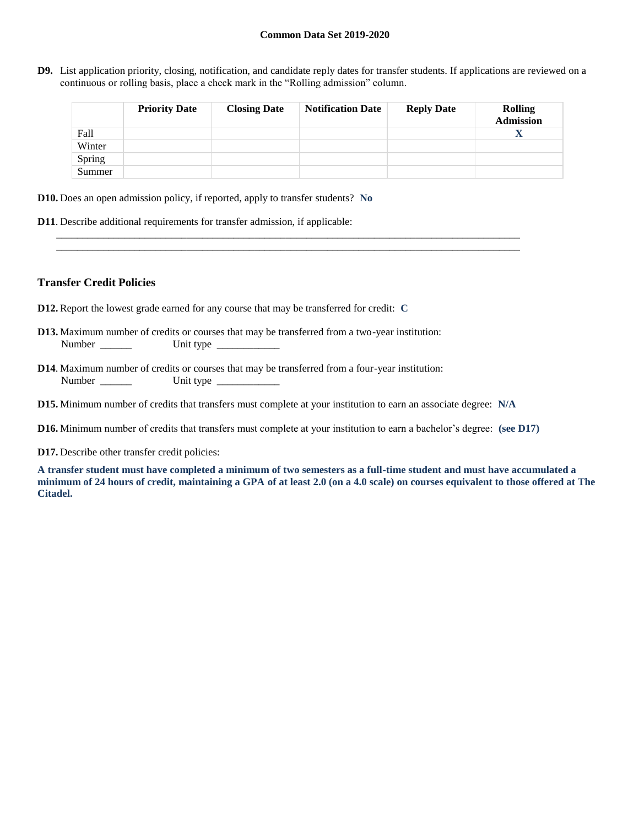**D9.** List application priority, closing, notification, and candidate reply dates for transfer students. If applications are reviewed on a continuous or rolling basis, place a check mark in the "Rolling admission" column.

|        | <b>Priority Date</b> | <b>Closing Date</b> | <b>Notification Date</b> | <b>Reply Date</b> | <b>Rolling</b><br><b>Admission</b> |
|--------|----------------------|---------------------|--------------------------|-------------------|------------------------------------|
| Fall   |                      |                     |                          |                   | X                                  |
| Winter |                      |                     |                          |                   |                                    |
| Spring |                      |                     |                          |                   |                                    |
| Summer |                      |                     |                          |                   |                                    |

- **D10.** Does an open admission policy, if reported, apply to transfer students? **No**
- **D11**. Describe additional requirements for transfer admission, if applicable:

### **Transfer Credit Policies**

- **D12.** Report the lowest grade earned for any course that may be transferred for credit: **C**
- **D13.** Maximum number of credits or courses that may be transferred from a two-year institution: Number \_\_\_\_\_\_ Unit type \_\_\_\_\_\_\_\_\_\_\_\_
- **D14**. Maximum number of credits or courses that may be transferred from a four-year institution: Number Unit type
- **D15.** Minimum number of credits that transfers must complete at your institution to earn an associate degree: **N/A**
- **D16.** Minimum number of credits that transfers must complete at your institution to earn a bachelor's degree: **(see D17)**

\_\_\_\_\_\_\_\_\_\_\_\_\_\_\_\_\_\_\_\_\_\_\_\_\_\_\_\_\_\_\_\_\_\_\_\_\_\_\_\_\_\_\_\_\_\_\_\_\_\_\_\_\_\_\_\_\_\_\_\_\_\_\_\_\_\_\_\_\_\_\_\_\_\_\_\_\_\_\_\_\_\_\_\_\_\_\_\_\_ \_\_\_\_\_\_\_\_\_\_\_\_\_\_\_\_\_\_\_\_\_\_\_\_\_\_\_\_\_\_\_\_\_\_\_\_\_\_\_\_\_\_\_\_\_\_\_\_\_\_\_\_\_\_\_\_\_\_\_\_\_\_\_\_\_\_\_\_\_\_\_\_\_\_\_\_\_\_\_\_\_\_\_\_\_\_\_\_\_

**D17.** Describe other transfer credit policies:

**A transfer student must have completed a minimum of two semesters as a full-time student and must have accumulated a minimum of 24 hours of credit, maintaining a GPA of at least 2.0 (on a 4.0 scale) on courses equivalent to those offered at The Citadel.**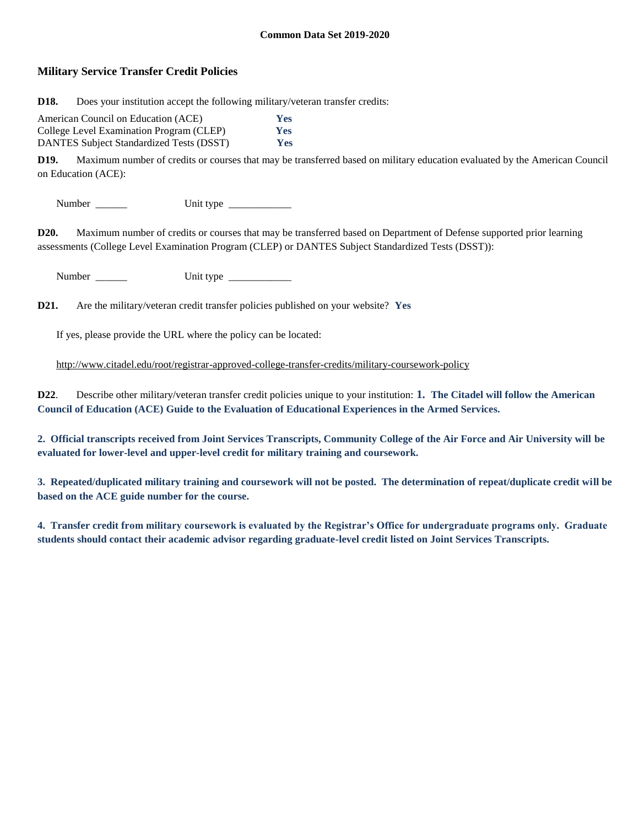## **Military Service Transfer Credit Policies**

**D18.** Does your institution accept the following military/veteran transfer credits:

| American Council on Education (ACE)             | <b>Yes</b> |
|-------------------------------------------------|------------|
| College Level Examination Program (CLEP)        | <b>Yes</b> |
| <b>DANTES Subject Standardized Tests (DSST)</b> | <b>Yes</b> |

**D19.** Maximum number of credits or courses that may be transferred based on military education evaluated by the American Council on Education (ACE):

Number \_\_\_\_\_\_ Unit type \_\_\_\_\_\_\_\_\_\_\_\_

**D20.** Maximum number of credits or courses that may be transferred based on Department of Defense supported prior learning assessments (College Level Examination Program (CLEP) or DANTES Subject Standardized Tests (DSST)):

Number \_\_\_\_\_\_ Unit type \_\_\_\_\_\_\_\_\_\_\_\_

**D21.** Are the military/veteran credit transfer policies published on your website? **Yes**

If yes, please provide the URL where the policy can be located:

<http://www.citadel.edu/root/registrar-approved-college-transfer-credits/military-coursework-policy>

**D22**. Describe other military/veteran transfer credit policies unique to your institution: **1. The Citadel will follow the American Council of Education (ACE) Guide to the Evaluation of Educational Experiences in the Armed Services.**

**2. Official transcripts received from Joint Services Transcripts, Community College of the Air Force and Air University will be evaluated for lower-level and upper-level credit for military training and coursework.**

**3. Repeated/duplicated military training and coursework will not be posted. The determination of repeat/duplicate credit will be based on the ACE guide number for the course.**

**4. Transfer credit from military coursework is evaluated by the Registrar's Office for undergraduate programs only. Graduate students should contact their academic advisor regarding graduate-level credit listed on Joint Services Transcripts.**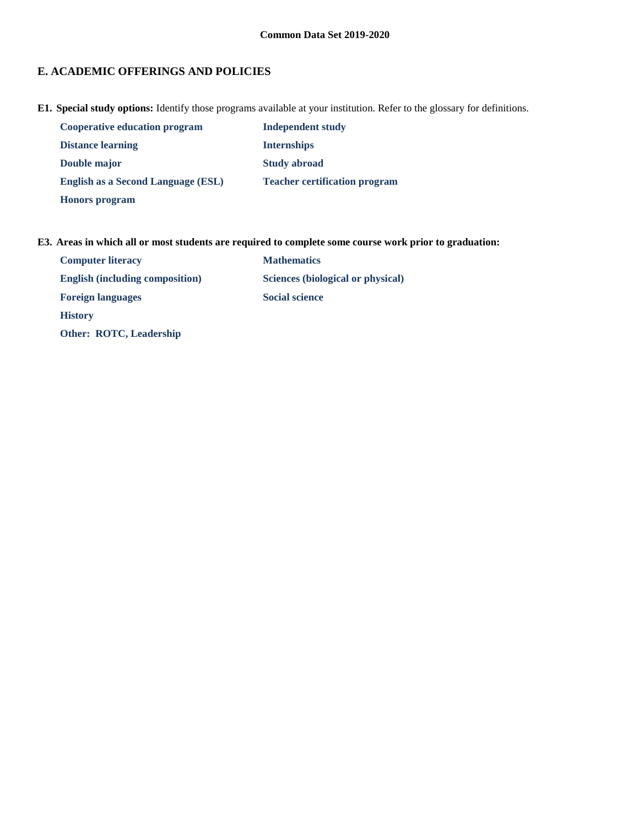# **E. ACADEMIC OFFERINGS AND POLICIES**

**E1. Special study options:** Identify those programs available at your institution. Refer to the glossary for definitions.

| <b>Cooperative education program</b> | Independent study                    |
|--------------------------------------|--------------------------------------|
| <b>Distance learning</b>             | <b>Internships</b>                   |
| Double major                         | <b>Study abroad</b>                  |
| English as a Second Language (ESL)   | <b>Teacher certification program</b> |
| <b>Honors</b> program                |                                      |

## **E3. Areas in which all or most students are required to complete some course work prior to graduation:**

| <b>Computer literacy</b>               | <b>Mathematics</b>                |
|----------------------------------------|-----------------------------------|
| <b>English (including composition)</b> | Sciences (biological or physical) |
| <b>Foreign languages</b>               | <b>Social science</b>             |
| <b>History</b>                         |                                   |
| Other: ROTC, Leadership                |                                   |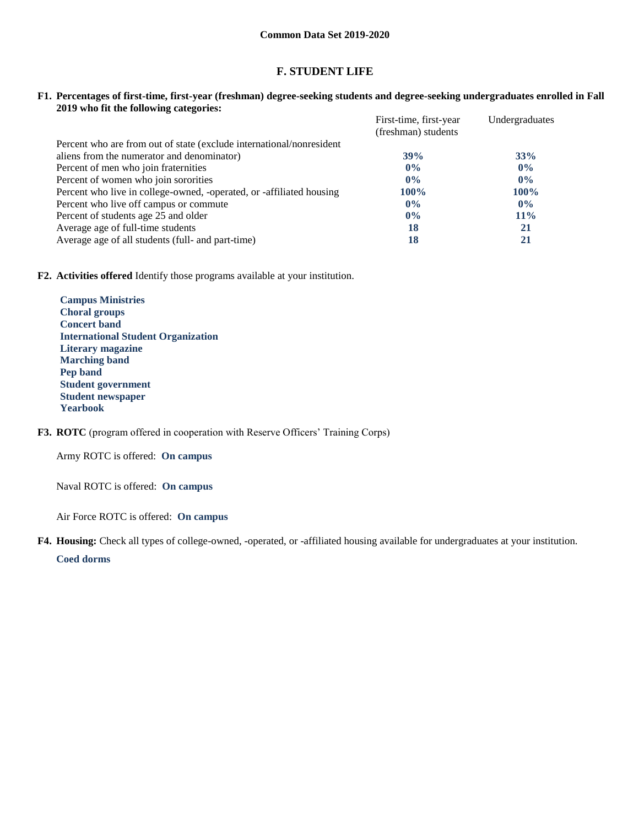## **F. STUDENT LIFE**

#### **F1. Percentages of first-time, first-year (freshman) degree-seeking students and degree-seeking undergraduates enrolled in Fall 2019 who fit the following categories:**

|                                                                      | First-time, first-year<br>(freshman) students | Undergraduates |
|----------------------------------------------------------------------|-----------------------------------------------|----------------|
| Percent who are from out of state (exclude international/nonresident |                                               |                |
| aliens from the numerator and denominator)                           | 39%                                           | 33%            |
| Percent of men who join fraternities                                 | $0\%$                                         | $0\%$          |
| Percent of women who join sororities                                 | $0\%$                                         | $0\%$          |
| Percent who live in college-owned, -operated, or -affiliated housing | <b>100%</b>                                   | <b>100%</b>    |
| Percent who live off campus or commute                               | $0\%$                                         | $0\%$          |
| Percent of students age 25 and older                                 | $0\%$                                         | $11\%$         |
| Average age of full-time students                                    | 18                                            | 21             |
| Average age of all students (full- and part-time)                    | 18                                            | 21             |

**F2. Activities offered** Identify those programs available at your institution.

**Campus Ministries Choral groups Concert band International Student Organization Literary magazine Marching band Pep band Student government Student newspaper Yearbook**

## **F3. ROTC** (program offered in cooperation with Reserve Officers' Training Corps)

Army ROTC is offered: **On campus**

Naval ROTC is offered: **On campus**

Air Force ROTC is offered: **On campus**

**F4. Housing:** Check all types of college-owned, -operated, or -affiliated housing available for undergraduates at your institution.

**Coed dorms**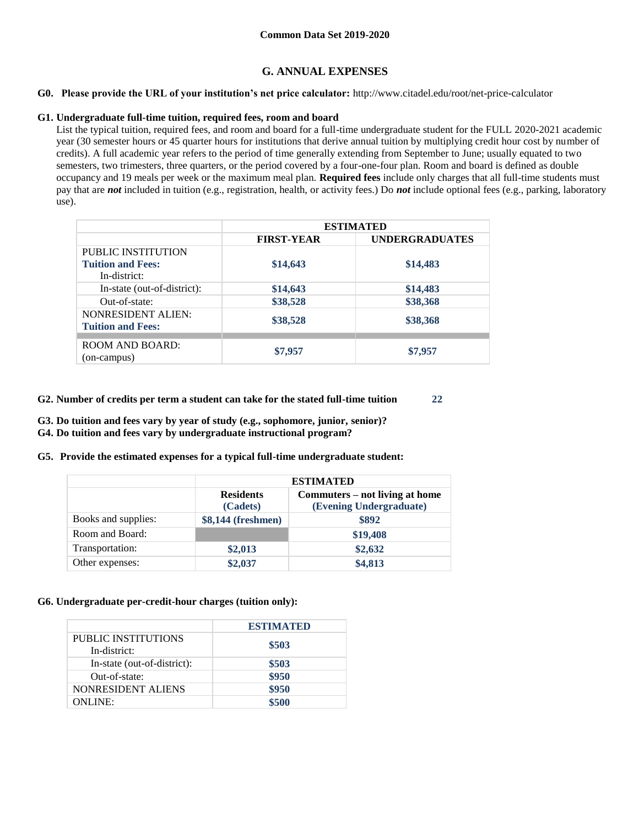## **G. ANNUAL EXPENSES**

### **G0. Please provide the URL of your institution's net price calculator:** http://www.citadel.edu/root/net-price-calculator

### **G1. Undergraduate full-time tuition, required fees, room and board**

List the typical tuition, required fees, and room and board for a full-time undergraduate student for the FULL 2020-2021 academic year (30 semester hours or 45 quarter hours for institutions that derive annual tuition by multiplying credit hour cost by number of credits). A full academic year refers to the period of time generally extending from September to June; usually equated to two semesters, two trimesters, three quarters, or the period covered by a four-one-four plan. Room and board is defined as double occupancy and 19 meals per week or the maximum meal plan. **Required fees** include only charges that all full-time students must pay that are *not* included in tuition (e.g., registration, health, or activity fees.) Do *not* include optional fees (e.g., parking, laboratory use).

|                                                       | <b>ESTIMATED</b>  |                       |  |
|-------------------------------------------------------|-------------------|-----------------------|--|
|                                                       | <b>FIRST-YEAR</b> | <b>UNDERGRADUATES</b> |  |
| <b>PUBLIC INSTITUTION</b>                             |                   |                       |  |
| <b>Tuition and Fees:</b><br>In-district:              | \$14,643          | \$14,483              |  |
| In-state (out-of-district):                           | \$14,643          | \$14,483              |  |
| Out-of-state:                                         | \$38,528          | \$38,368              |  |
| <b>NONRESIDENT ALIEN:</b><br><b>Tuition and Fees:</b> | \$38,528          | \$38,368              |  |
|                                                       |                   |                       |  |
| <b>ROOM AND BOARD:</b><br>(on-campus)                 | \$7,957           | \$7,957               |  |

- **G2. Number of credits per term a student can take for the stated full-time tuition 22**
- **G3. Do tuition and fees vary by year of study (e.g., sophomore, junior, senior)?**
- **G4. Do tuition and fees vary by undergraduate instructional program?**
- **G5. Provide the estimated expenses for a typical full-time undergraduate student:**

|                     | <b>ESTIMATED</b>             |                                                           |  |  |  |
|---------------------|------------------------------|-----------------------------------------------------------|--|--|--|
|                     | <b>Residents</b><br>(Cadets) | Commuters – not living at home<br>(Evening Undergraduate) |  |  |  |
| Books and supplies: | \$8,144 (freshmen)           | \$892                                                     |  |  |  |
| Room and Board:     |                              | \$19,408                                                  |  |  |  |
| Transportation:     | \$2,013                      | \$2,632                                                   |  |  |  |
| Other expenses:     | \$2,037                      | \$4,813                                                   |  |  |  |

## **G6. Undergraduate per-credit-hour charges (tuition only):**

|                                     | <b>ESTIMATED</b> |
|-------------------------------------|------------------|
| PUBLIC INSTITUTIONS<br>In-district: | \$503            |
| In-state (out-of-district):         | \$503            |
| Out-of-state:                       | \$950            |
| NONRESIDENT ALIENS                  | \$950            |
| <b>ONLINE:</b>                      | \$500            |
|                                     |                  |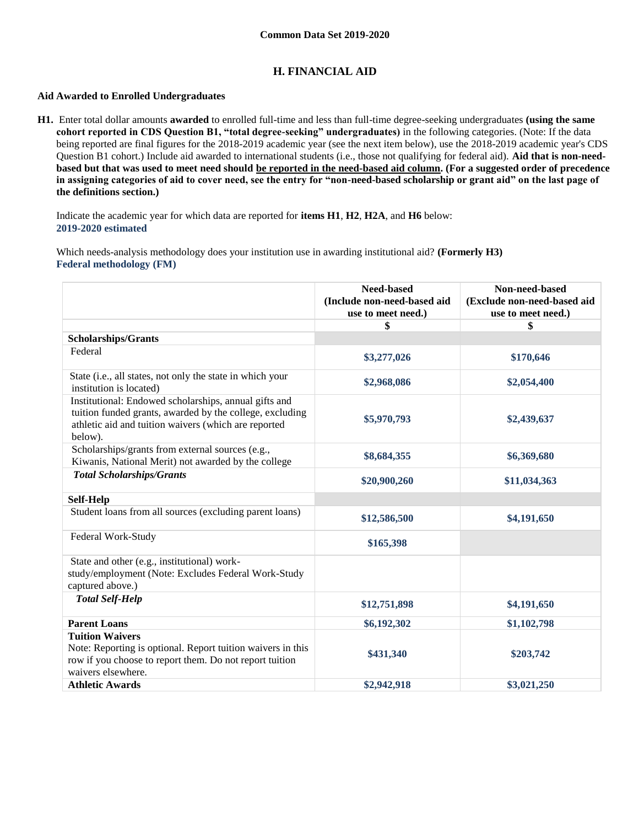## **H. FINANCIAL AID**

### **Aid Awarded to Enrolled Undergraduates**

**H1.** Enter total dollar amounts **awarded** to enrolled full-time and less than full-time degree-seeking undergraduates **(using the same cohort reported in CDS Question B1, "total degree-seeking" undergraduates)** in the following categories. (Note: If the data being reported are final figures for the 2018-2019 academic year (see the next item below), use the 2018-2019 academic year's CDS Question B1 cohort.) Include aid awarded to international students (i.e., those not qualifying for federal aid). **Aid that is non-needbased but that was used to meet need should be reported in the need-based aid column. (For a suggested order of precedence in assigning categories of aid to cover need, see the entry for "non-need-based scholarship or grant aid" on the last page of the definitions section.)**

Indicate the academic year for which data are reported for **items H1**, **H2**, **H2A**, and **H6** below: **2019-2020 estimated** 

Which needs-analysis methodology does your institution use in awarding institutional aid? **(Formerly H3) Federal methodology (FM)**

|                                                                                                                                                                                      | <b>Need-based</b><br>(Include non-need-based aid<br>use to meet need.) | Non-need-based<br>(Exclude non-need-based aid<br>use to meet need.) |
|--------------------------------------------------------------------------------------------------------------------------------------------------------------------------------------|------------------------------------------------------------------------|---------------------------------------------------------------------|
|                                                                                                                                                                                      | \$                                                                     | \$                                                                  |
| <b>Scholarships/Grants</b>                                                                                                                                                           |                                                                        |                                                                     |
| Federal                                                                                                                                                                              | \$3,277,026                                                            | \$170,646                                                           |
| State (i.e., all states, not only the state in which your<br>institution is located)                                                                                                 | \$2,968,086                                                            | \$2,054,400                                                         |
| Institutional: Endowed scholarships, annual gifts and<br>tuition funded grants, awarded by the college, excluding<br>athletic aid and tuition waivers (which are reported<br>below). | \$5,970,793                                                            | \$2,439,637                                                         |
| Scholarships/grants from external sources (e.g.,<br>Kiwanis, National Merit) not awarded by the college                                                                              | \$8,684,355                                                            | \$6,369,680                                                         |
| <b>Total Scholarships/Grants</b>                                                                                                                                                     | \$20,900,260                                                           | \$11,034,363                                                        |
| Self-Help                                                                                                                                                                            |                                                                        |                                                                     |
| Student loans from all sources (excluding parent loans)                                                                                                                              | \$12,586,500                                                           | \$4,191,650                                                         |
| Federal Work-Study                                                                                                                                                                   | \$165,398                                                              |                                                                     |
| State and other (e.g., institutional) work-<br>study/employment (Note: Excludes Federal Work-Study<br>captured above.)                                                               |                                                                        |                                                                     |
| <b>Total Self-Help</b>                                                                                                                                                               | \$12,751,898                                                           | \$4,191,650                                                         |
| <b>Parent Loans</b>                                                                                                                                                                  | \$6,192,302                                                            | \$1,102,798                                                         |
| <b>Tuition Waivers</b><br>Note: Reporting is optional. Report tuition waivers in this<br>row if you choose to report them. Do not report tuition<br>waivers elsewhere.               | \$431,340                                                              | \$203,742                                                           |
| <b>Athletic Awards</b>                                                                                                                                                               | \$2,942,918                                                            | \$3,021,250                                                         |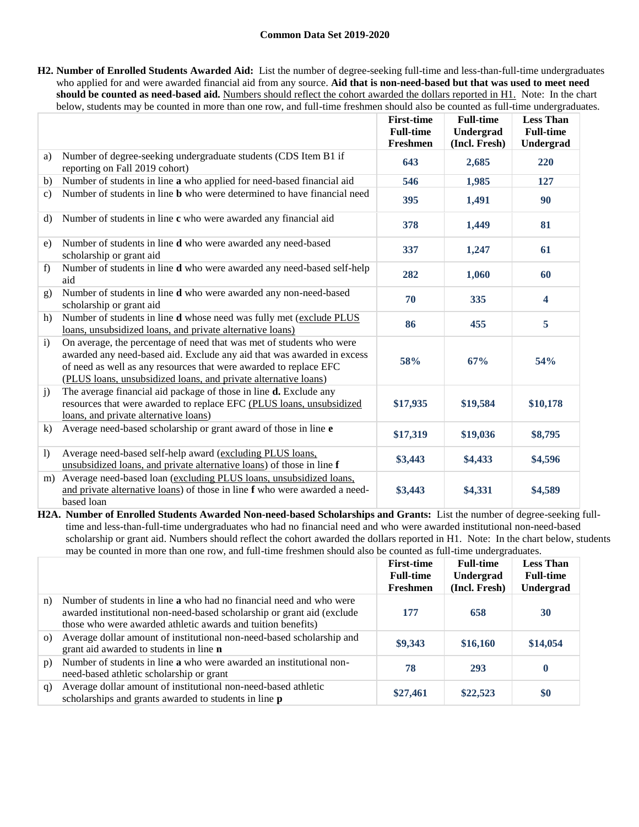**H2. Number of Enrolled Students Awarded Aid:** List the number of degree-seeking full-time and less-than-full-time undergraduates who applied for and were awarded financial aid from any source. **Aid that is non-need-based but that was used to meet need should be counted as need-based aid.** Numbers should reflect the cohort awarded the dollars reported in H1. Note: In the chart below, students may be counted in more than one row, and full-time freshmen should also be counted as full-time undergraduates.

|                  |                                                                                                                                                                                                                                                                                        | <b>First-time</b><br><b>Full-time</b><br>Freshmen | <b>Full-time</b><br>Undergrad<br>(Incl. Fresh) | <b>Less Than</b><br><b>Full-time</b><br>Undergrad |
|------------------|----------------------------------------------------------------------------------------------------------------------------------------------------------------------------------------------------------------------------------------------------------------------------------------|---------------------------------------------------|------------------------------------------------|---------------------------------------------------|
| a)               | Number of degree-seeking undergraduate students (CDS Item B1 if<br>reporting on Fall 2019 cohort)                                                                                                                                                                                      | 643                                               | 2,685                                          | 220                                               |
| b)               | Number of students in line a who applied for need-based financial aid                                                                                                                                                                                                                  | 546                                               | 1,985                                          | 127                                               |
| $\mathbf{c}$     | Number of students in line <b>b</b> who were determined to have financial need                                                                                                                                                                                                         | 395                                               | 1,491                                          | 90                                                |
| d)               | Number of students in line c who were awarded any financial aid                                                                                                                                                                                                                        | 378                                               | 1,449                                          | 81                                                |
| e)               | Number of students in line d who were awarded any need-based<br>scholarship or grant aid                                                                                                                                                                                               | 337                                               | 1,247                                          | 61                                                |
| f)               | Number of students in line d who were awarded any need-based self-help<br>aid                                                                                                                                                                                                          | 282                                               | 1,060                                          | 60                                                |
| g)               | Number of students in line d who were awarded any non-need-based<br>scholarship or grant aid                                                                                                                                                                                           | 70                                                | 335                                            | $\overline{\mathbf{4}}$                           |
| h)               | Number of students in line <b>d</b> whose need was fully met (exclude PLUS<br>loans, unsubsidized loans, and private alternative loans)                                                                                                                                                | 86                                                | 455                                            | 5                                                 |
| $\mathbf{i}$     | On average, the percentage of need that was met of students who were<br>awarded any need-based aid. Exclude any aid that was awarded in excess<br>of need as well as any resources that were awarded to replace EFC<br>(PLUS loans, unsubsidized loans, and private alternative loans) | 58%                                               | 67%                                            | 54%                                               |
| j)               | The average financial aid package of those in line <b>d.</b> Exclude any<br>resources that were awarded to replace EFC (PLUS loans, unsubsidized<br>loans, and private alternative loans)                                                                                              | \$17,935                                          | \$19,584                                       | \$10,178                                          |
| $\bf k$          | Average need-based scholarship or grant award of those in line e                                                                                                                                                                                                                       | \$17,319                                          | \$19,036                                       | \$8,795                                           |
| $\left( \right)$ | Average need-based self-help award (excluding PLUS loans,<br>unsubsidized loans, and private alternative loans) of those in line f                                                                                                                                                     | \$3,443                                           | \$4,433                                        | \$4,596                                           |
| m)               | Average need-based loan (excluding PLUS loans, unsubsidized loans,<br>and private alternative loans) of those in line f who were awarded a need-<br>based loan                                                                                                                         | \$3,443                                           | \$4,331                                        | \$4,589                                           |

**H2A. Number of Enrolled Students Awarded Non-need-based Scholarships and Grants:** List the number of degree-seeking fulltime and less-than-full-time undergraduates who had no financial need and who were awarded institutional non-need-based scholarship or grant aid. Numbers should reflect the cohort awarded the dollars reported in H1. Note: In the chart below, students may be counted in more than one row, and full-time freshmen should also be counted as full-time undergraduates.

|          |                                                                                                                                                                                                                      | <b>First-time</b><br><b>Full-time</b><br>Freshmen | <b>Full-time</b><br>Undergrad<br>(Incl. Fresh) | <b>Less Than</b><br><b>Full-time</b><br>Undergrad |
|----------|----------------------------------------------------------------------------------------------------------------------------------------------------------------------------------------------------------------------|---------------------------------------------------|------------------------------------------------|---------------------------------------------------|
| n)       | Number of students in line <b>a</b> who had no financial need and who were<br>awarded institutional non-need-based scholarship or grant aid (exclude<br>those who were awarded athletic awards and tuition benefits) | 177                                               | 658                                            | 30                                                |
| $\Omega$ | Average dollar amount of institutional non-need-based scholarship and<br>grant aid awarded to students in line n                                                                                                     | \$9,343                                           | \$16,160                                       | \$14,054                                          |
| p)       | Number of students in line a who were awarded an institutional non-<br>need-based athletic scholarship or grant                                                                                                      | 78                                                | 293                                            | $\bf{0}$                                          |
| q)       | Average dollar amount of institutional non-need-based athletic<br>scholarships and grants awarded to students in line <b>p</b>                                                                                       | \$27,461                                          | \$22,523                                       | \$0                                               |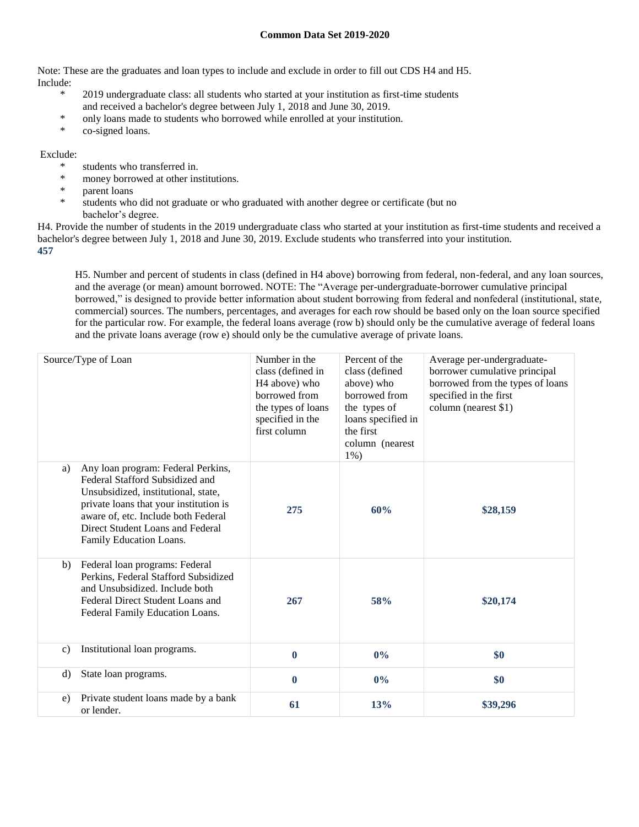Note: These are the graduates and loan types to include and exclude in order to fill out CDS H4 and H5. Include:

- 2019 undergraduate class: all students who started at your institution as first-time students and received a bachelor's degree between July 1, 2018 and June 30, 2019.
- \* only loans made to students who borrowed while enrolled at your institution.
- \* co-signed loans.

## Exclude:

- students who transferred in.
- \* money borrowed at other institutions.
- \* parent loans
- students who did not graduate or who graduated with another degree or certificate (but no bachelor's degree.

H4. Provide the number of students in the 2019 undergraduate class who started at your institution as first-time students and received a bachelor's degree between July 1, 2018 and June 30, 2019. Exclude students who transferred into your institution. **457**

H5. Number and percent of students in class (defined in H4 above) borrowing from federal, non-federal, and any loan sources, and the average (or mean) amount borrowed. NOTE: The "Average per-undergraduate-borrower cumulative principal borrowed," is designed to provide better information about student borrowing from federal and nonfederal (institutional, state, commercial) sources. The numbers, percentages, and averages for each row should be based only on the loan source specified for the particular row. For example, the federal loans average (row b) should only be the cumulative average of federal loans and the private loans average (row e) should only be the cumulative average of private loans.

|              | Source/Type of Loan                                                                                                                                                                                                                                          | Number in the<br>class (defined in<br>H <sub>4</sub> above) who<br>borrowed from<br>the types of loans<br>specified in the<br>first column | Percent of the<br>class (defined<br>above) who<br>borrowed from<br>the types of<br>loans specified in<br>the first<br>column (nearest)<br>$1\%$ ) | Average per-undergraduate-<br>borrower cumulative principal<br>borrowed from the types of loans<br>specified in the first<br>column (nearest \$1) |
|--------------|--------------------------------------------------------------------------------------------------------------------------------------------------------------------------------------------------------------------------------------------------------------|--------------------------------------------------------------------------------------------------------------------------------------------|---------------------------------------------------------------------------------------------------------------------------------------------------|---------------------------------------------------------------------------------------------------------------------------------------------------|
| a)           | Any loan program: Federal Perkins,<br>Federal Stafford Subsidized and<br>Unsubsidized, institutional, state,<br>private loans that your institution is<br>aware of, etc. Include both Federal<br>Direct Student Loans and Federal<br>Family Education Loans. | 275                                                                                                                                        | 60%                                                                                                                                               | \$28,159                                                                                                                                          |
| b)           | Federal loan programs: Federal<br>Perkins, Federal Stafford Subsidized<br>and Unsubsidized. Include both<br>Federal Direct Student Loans and<br>Federal Family Education Loans.                                                                              | 267                                                                                                                                        | 58%                                                                                                                                               | \$20,174                                                                                                                                          |
| $\mathbf{c}$ | Institutional loan programs.                                                                                                                                                                                                                                 | $\bf{0}$                                                                                                                                   | 0%                                                                                                                                                | \$0                                                                                                                                               |
| $\rm d$      | State loan programs.                                                                                                                                                                                                                                         | $\bf{0}$                                                                                                                                   | $0\%$                                                                                                                                             | \$0                                                                                                                                               |
| e)           | Private student loans made by a bank<br>or lender.                                                                                                                                                                                                           | 61                                                                                                                                         | 13%                                                                                                                                               | \$39,296                                                                                                                                          |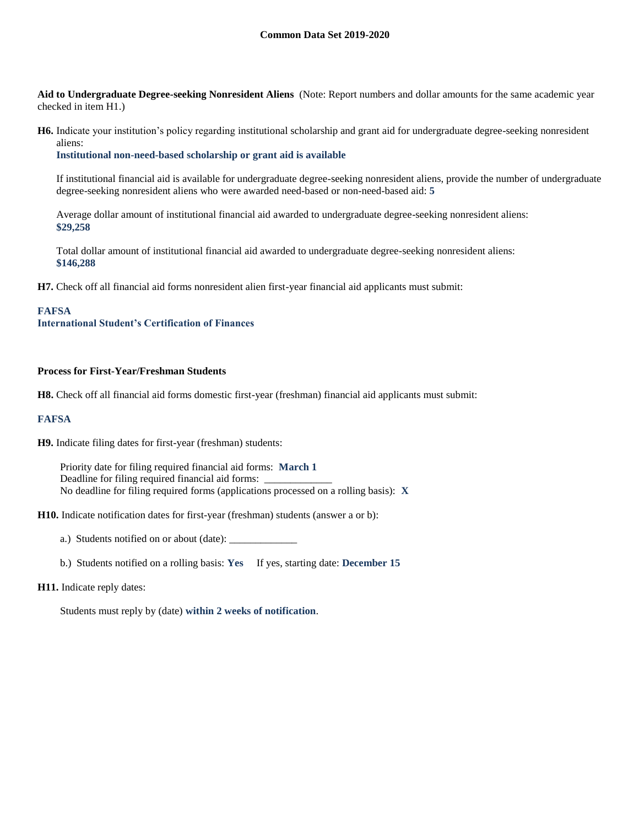**Aid to Undergraduate Degree-seeking Nonresident Aliens** (Note: Report numbers and dollar amounts for the same academic year checked in item H1.)

**H6.** Indicate your institution's policy regarding institutional scholarship and grant aid for undergraduate degree-seeking nonresident aliens:

**Institutional non-need-based scholarship or grant aid is available**

If institutional financial aid is available for undergraduate degree-seeking nonresident aliens, provide the number of undergraduate degree-seeking nonresident aliens who were awarded need-based or non-need-based aid: **5**

Average dollar amount of institutional financial aid awarded to undergraduate degree-seeking nonresident aliens: **\$29,258**

Total dollar amount of institutional financial aid awarded to undergraduate degree-seeking nonresident aliens: **\$146,288**

**H7.** Check off all financial aid forms nonresident alien first-year financial aid applicants must submit:

#### **FAFSA**

**International Student's Certification of Finances**

#### **Process for First-Year/Freshman Students**

**H8.** Check off all financial aid forms domestic first-year (freshman) financial aid applicants must submit:

### **FAFSA**

**H9.** Indicate filing dates for first-year (freshman) students:

Priority date for filing required financial aid forms: **March 1** Deadline for filing required financial aid forms: No deadline for filing required forms (applications processed on a rolling basis): **X**

**H10.** Indicate notification dates for first-year (freshman) students (answer a or b):

a.) Students notified on or about (date): \_\_\_\_\_\_\_\_\_\_\_\_\_

b.) Students notified on a rolling basis: **Yes** If yes, starting date: **December 15**

#### **H11.** Indicate reply dates:

Students must reply by (date) **within 2 weeks of notification**.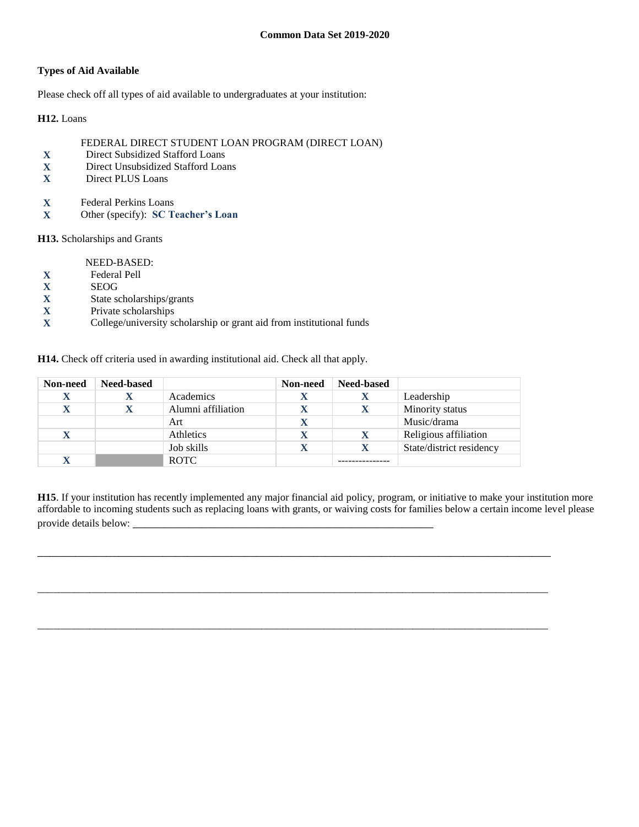## **Types of Aid Available**

Please check off all types of aid available to undergraduates at your institution:

**H12.** Loans

## FEDERAL DIRECT STUDENT LOAN PROGRAM (DIRECT LOAN)

- **X** Direct Subsidized Stafford Loans
- **X** Direct Unsubsidized Stafford Loans
- **X** Direct PLUS Loans
- **X** Federal Perkins Loans
- **X** Other (specify): **SC Teacher's Loan**

## **H13.** Scholarships and Grants

NEED-BASED:

- **X** Federal Pell
- 
- **X** SEOG<br>**X** State so **X** State scholarships/grants
- **X** Private scholarships
- **X** College/university scholarship or grant aid from institutional funds

**H14.** Check off criteria used in awarding institutional aid. Check all that apply.

| Non-need | <b>Need-based</b> |                    | Non-need | <b>Need-based</b> |                          |
|----------|-------------------|--------------------|----------|-------------------|--------------------------|
| X        |                   | Academics          |          |                   | Leadership               |
| X        |                   | Alumni affiliation |          |                   | Minority status          |
|          |                   | Art                |          |                   | Music/drama              |
| X        |                   | Athletics          |          |                   | Religious affiliation    |
|          |                   | Job skills         |          |                   | State/district residency |
|          |                   | <b>ROTC</b>        |          |                   |                          |

**H15**. If your institution has recently implemented any major financial aid policy, program, or initiative to make your institution more affordable to incoming students such as replacing loans with grants, or waiving costs for families below a certain income level please provide details below: \_\_\_\_\_\_\_\_\_\_\_\_\_\_\_\_\_\_\_\_\_\_\_\_\_\_\_\_\_\_\_\_\_\_\_\_\_\_\_\_\_\_\_\_\_\_\_\_

\_\_\_\_\_\_\_\_\_\_\_\_\_\_\_\_\_\_\_\_\_\_\_\_\_\_\_\_\_\_\_\_\_\_\_\_\_\_\_\_\_\_\_\_\_\_\_\_\_\_\_\_\_\_\_\_\_\_\_\_\_\_\_\_\_\_\_\_\_\_\_\_\_\_\_\_\_\_\_\_\_\_

\_\_\_\_\_\_\_\_\_\_\_\_\_\_\_\_\_\_\_\_\_\_\_\_\_\_\_\_\_\_\_\_\_\_\_\_\_\_\_\_\_\_\_\_\_\_\_\_\_\_\_\_\_\_\_\_\_\_\_\_\_\_\_\_\_\_\_\_\_\_\_\_\_\_\_\_\_\_\_\_\_\_\_\_\_\_\_\_\_\_\_\_\_\_\_\_\_\_

\_\_\_\_\_\_\_\_\_\_\_\_\_\_\_\_\_\_\_\_\_\_\_\_\_\_\_\_\_\_\_\_\_\_\_\_\_\_\_\_\_\_\_\_\_\_\_\_\_\_\_\_\_\_\_\_\_\_\_\_\_\_\_\_\_\_\_\_\_\_\_\_\_\_\_\_\_\_\_\_\_\_\_\_\_\_\_\_\_\_\_\_\_\_\_\_\_\_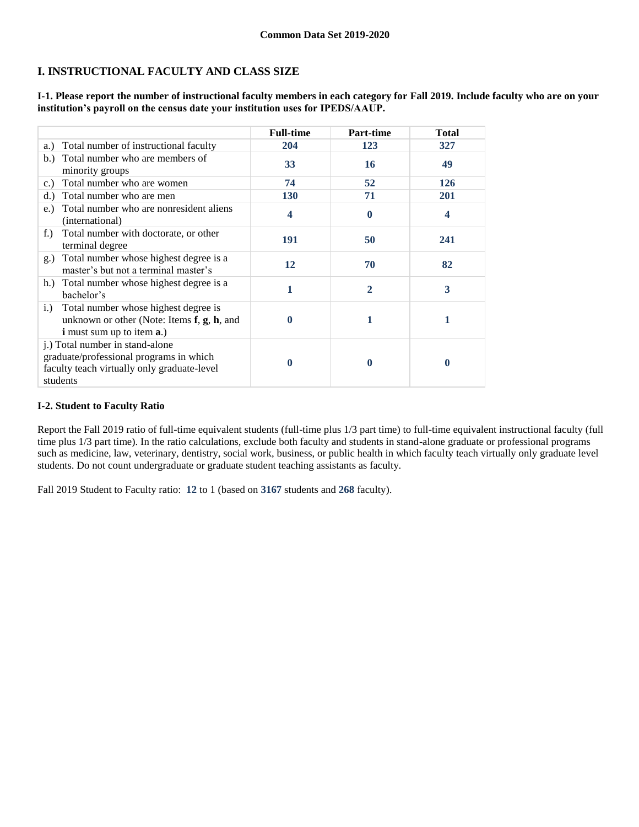# **I. INSTRUCTIONAL FACULTY AND CLASS SIZE**

**I-1. Please report the number of instructional faculty members in each category for Fall 2019. Include faculty who are on your institution's payroll on the census date your institution uses for IPEDS/AAUP.**

|                                                                                                                                                | <b>Full-time</b>        | Part-time      | <b>Total</b>     |
|------------------------------------------------------------------------------------------------------------------------------------------------|-------------------------|----------------|------------------|
| Total number of instructional faculty<br>a.)                                                                                                   | 204                     | 123            | 327              |
| Total number who are members of<br>b.<br>minority groups                                                                                       | 33                      | 16             | 49               |
| Total number who are women<br>c.)                                                                                                              | 74                      | 52             | 126              |
| Total number who are men<br>d.                                                                                                                 | 130                     | 71             | 201              |
| Total number who are nonresident aliens<br>e.)<br>(international)                                                                              | $\overline{\mathbf{4}}$ | $\mathbf 0$    | $\boldsymbol{4}$ |
| Total number with doctorate, or other<br>$f_{\cdot}$ )<br>terminal degree                                                                      | 191                     | 50             | 241              |
| Total number whose highest degree is a<br>g.)<br>master's but not a terminal master's                                                          | 12                      | 70             | 82               |
| Total number whose highest degree is a<br>h.)<br>bachelor's                                                                                    | 1                       | $\overline{2}$ | 3                |
| Total number whose highest degree is<br>i.)<br>unknown or other (Note: Items $f$ , $g$ , $h$ , and<br><i>i</i> must sum up to item <b>a</b> .) | $\bf{0}$                | 1              | 1                |
| j.) Total number in stand-alone<br>graduate/professional programs in which<br>faculty teach virtually only graduate-level<br>students          | 0                       | 0              | 0                |

## **I-2. Student to Faculty Ratio**

Report the Fall 2019 ratio of full-time equivalent students (full-time plus 1/3 part time) to full-time equivalent instructional faculty (full time plus 1/3 part time). In the ratio calculations, exclude both faculty and students in stand-alone graduate or professional programs such as medicine, law, veterinary, dentistry, social work, business, or public health in which faculty teach virtually only graduate level students. Do not count undergraduate or graduate student teaching assistants as faculty.

Fall 2019 Student to Faculty ratio: **12** to 1 (based on **3167** students and **268** faculty).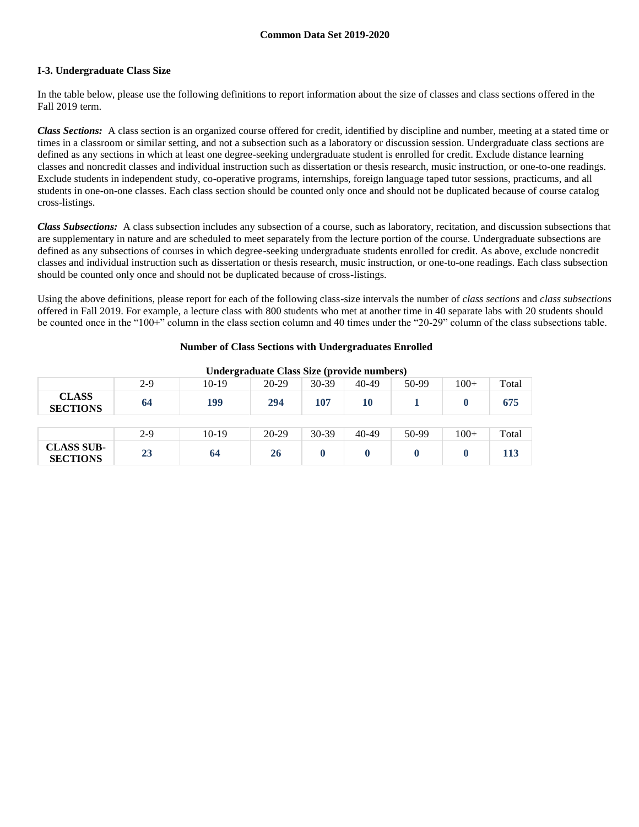## **I-3. Undergraduate Class Size**

In the table below, please use the following definitions to report information about the size of classes and class sections offered in the Fall 2019 term.

*Class Sections:* A class section is an organized course offered for credit, identified by discipline and number, meeting at a stated time or times in a classroom or similar setting, and not a subsection such as a laboratory or discussion session. Undergraduate class sections are defined as any sections in which at least one degree-seeking undergraduate student is enrolled for credit. Exclude distance learning classes and noncredit classes and individual instruction such as dissertation or thesis research, music instruction, or one-to-one readings. Exclude students in independent study, co-operative programs, internships, foreign language taped tutor sessions, practicums, and all students in one-on-one classes. Each class section should be counted only once and should not be duplicated because of course catalog cross-listings.

*Class Subsections:* A class subsection includes any subsection of a course, such as laboratory, recitation, and discussion subsections that are supplementary in nature and are scheduled to meet separately from the lecture portion of the course. Undergraduate subsections are defined as any subsections of courses in which degree-seeking undergraduate students enrolled for credit. As above, exclude noncredit classes and individual instruction such as dissertation or thesis research, music instruction, or one-to-one readings. Each class subsection should be counted only once and should not be duplicated because of cross-listings.

Using the above definitions, please report for each of the following class-size intervals the number of *class sections* and *class subsections* offered in Fall 2019. For example, a lecture class with 800 students who met at another time in 40 separate labs with 20 students should be counted once in the "100+" column in the class section column and 40 times under the "20-29" column of the class subsections table.

## **Number of Class Sections with Undergraduates Enrolled**

|                                      |       |         | Under graduate Class Size (provide numbers) |           |       |       |        |       |
|--------------------------------------|-------|---------|---------------------------------------------|-----------|-------|-------|--------|-------|
|                                      | 2-9   | $10-19$ | 20-29                                       | 30-39     | 40-49 | 50-99 | $100+$ | Total |
| <b>CLASS</b><br><b>SECTIONS</b>      | 64    | 199     | 294                                         | 107       | 10    |       |        | 675   |
|                                      |       |         |                                             |           |       |       |        |       |
|                                      | $2-9$ | $10-19$ | $20-29$                                     | $30 - 39$ | 40-49 | 50-99 | $100+$ | Total |
| <b>CLASS SUB-</b><br><b>SECTIONS</b> | 23    | 64      | 26                                          |           |       |       |        | 113   |

**Undergraduate Class Size (provide numbers)**